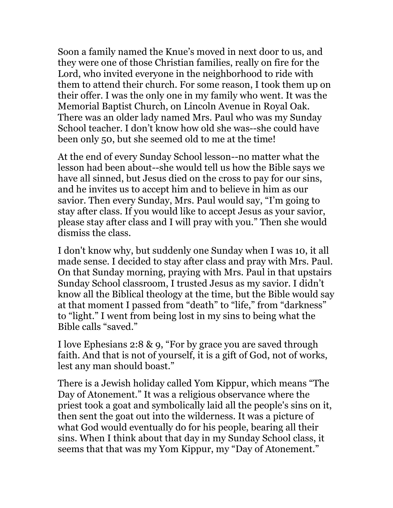Soon a family named the Knue's moved in next door to us, and they were one of those Christian families, really on fire for the Lord, who invited everyone in the neighborhood to ride with them to attend their church. For some reason, I took them up on their offer. I was the only one in my family who went. It was the Memorial Baptist Church, on Lincoln Avenue in Royal Oak. There was an older lady named Mrs. Paul who was my Sunday School teacher. I don't know how old she was--she could have been only 50, but she seemed old to me at the time!

At the end of every Sunday School lesson--no matter what the lesson had been about--she would tell us how the Bible says we have all sinned, but Jesus died on the cross to pay for our sins, and he invites us to accept him and to believe in him as our savior. Then every Sunday, Mrs. Paul would say, "I'm going to stay after class. If you would like to accept Jesus as your savior, please stay after class and I will pray with you." Then she would dismiss the class.

I don't know why, but suddenly one Sunday when I was 10, it all made sense. I decided to stay after class and pray with Mrs. Paul. On that Sunday morning, praying with Mrs. Paul in that upstairs Sunday School classroom, I trusted Jesus as my savior. I didn't know all the Biblical theology at the time, but the Bible would say at that moment I passed from "death" to "life," from "darkness" to "light." I went from being lost in my sins to being what the Bible calls "saved."

I love Ephesians 2:8 & 9, "For by grace you are saved through faith. And that is not of yourself, it is a gift of God, not of works, lest any man should boast."

There is a Jewish holiday called Yom Kippur, which means "The Day of Atonement." It was a religious observance where the priest took a goat and symbolically laid all the people's sins on it, then sent the goat out into the wilderness. It was a picture of what God would eventually do for his people, bearing all their sins. When I think about that day in my Sunday School class, it seems that that was my Yom Kippur, my "Day of Atonement."